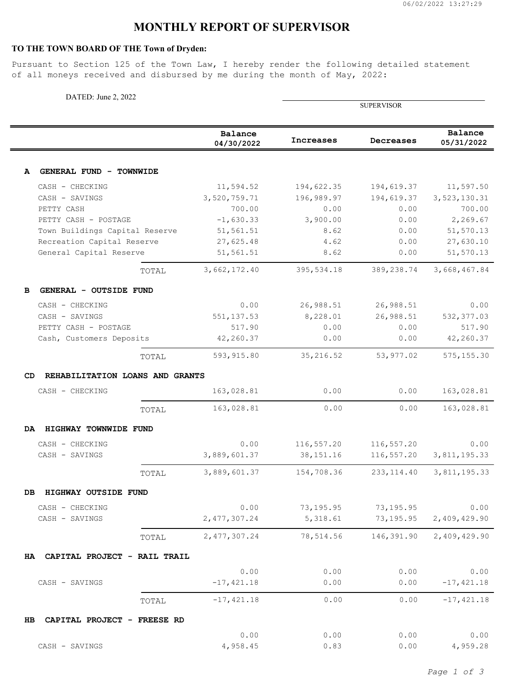## **MONTHLY REPORT OF SUPERVISOR**

## **TO THE TOWN BOARD OF THE Town of Dryden:**

Pursuant to Section 125 of the Town Law, I hereby render the following detailed statement of all moneys received and disbursed by me during the month of May, 2022:

| DATED: June 2, 2022                                    |       |                        |                   |              |                        |
|--------------------------------------------------------|-------|------------------------|-------------------|--------------|------------------------|
|                                                        |       |                        | <b>SUPERVISOR</b> |              |                        |
|                                                        |       | Balance<br>04/30/2022  | Increases         | Decreases    | Balance<br>05/31/2022  |
|                                                        |       |                        |                   |              |                        |
| GENERAL FUND - TOWNWIDE<br>A                           |       |                        |                   |              |                        |
| CASH - CHECKING                                        |       | 11,594.52              | 194,622.35        | 194,619.37   | 11,597.50              |
| CASH - SAVINGS                                         |       | 3,520,759.71           | 196,989.97        | 194,619.37   | 3,523,130.31           |
| PETTY CASH                                             |       | 700.00                 | 0.00              | 0.00         | 700.00                 |
| PETTY CASH - POSTAGE<br>Town Buildings Capital Reserve |       | $-1,630.33$            | 3,900.00<br>8.62  | 0.00<br>0.00 | 2,269.67               |
| Recreation Capital Reserve                             |       | 51,561.51<br>27,625.48 | 4.62              | 0.00         | 51,570.13<br>27,630.10 |
| General Capital Reserve                                |       | 51,561.51              | 8.62              | 0.00         | 51,570.13              |
|                                                        | TOTAL | 3,662,172.40           | 395,534.18        | 389,238.74   | 3,668,467.84           |
| GENERAL - OUTSIDE FUND                                 |       |                        |                   |              |                        |
| CASH - CHECKING                                        |       | 0.00                   | 26,988.51         | 26,988.51    | 0.00                   |
| CASH - SAVINGS                                         |       | 551, 137.53            | 8,228.01          | 26,988.51    | 532, 377.03            |
| PETTY CASH - POSTAGE                                   |       | 517.90                 | 0.00              | 0.00         | 517.90                 |
| Cash, Customers Deposits                               |       | 42,260.37              | 0.00              | 0.00         | 42,260.37              |
|                                                        | TOTAL | 593, 915.80            | 35,216.52         | 53, 977.02   | 575, 155.30            |
| CD<br>REHABILITATION LOANS AND GRANTS                  |       |                        |                   |              |                        |
| CASH - CHECKING                                        |       | 163,028.81             | 0.00              | 0.00         | 163,028.81             |
|                                                        | TOTAL | 163,028.81             | 0.00              | 0.00         | 163,028.81             |
| HIGHWAY TOWNWIDE FUND<br>DA                            |       |                        |                   |              |                        |
| CASH - CHECKING                                        |       | 0.00                   | 116,557.20        | 116,557.20   | 0.00                   |
| CASH - SAVINGS                                         |       | 3,889,601.37           | 38, 151. 16       | 116,557.20   | 3,811,195.33           |
|                                                        | TOTAL | 3,889,601.37           | 154,708.36        | 233, 114.40  | 3,811,195.33           |
| HIGHWAY OUTSIDE FUND<br>DB                             |       |                        |                   |              |                        |
| CASH - CHECKING                                        |       | 0.00                   | 73,195.95         | 73,195.95    | 0.00                   |
| CASH - SAVINGS                                         |       | 2,477,307.24           | 5,318.61          | 73,195.95    | 2,409,429.90           |
|                                                        | TOTAL | 2, 477, 307.24         | 78,514.56         | 146,391.90   | 2,409,429.90           |
| CAPITAL PROJECT - RAIL TRAIL<br><b>HA</b>              |       |                        |                   |              |                        |
|                                                        |       | 0.00                   | 0.00              | 0.00         | 0.00                   |
| CASH - SAVINGS                                         |       | $-17, 421.18$          | 0.00              | 0.00         | $-17,421.18$           |
|                                                        | TOTAL | $-17, 421.18$          | 0.00              | 0.00         | $-17, 421.18$          |
| CAPITAL PROJECT - FREESE RD<br>HВ                      |       |                        |                   |              |                        |
|                                                        |       | 0.00                   | 0.00              | 0.00         | 0.00                   |
| CASH - SAVINGS                                         |       | 4,958.45               | 0.83              | 0.00         | 4,959.28               |

*Page 1 of 3*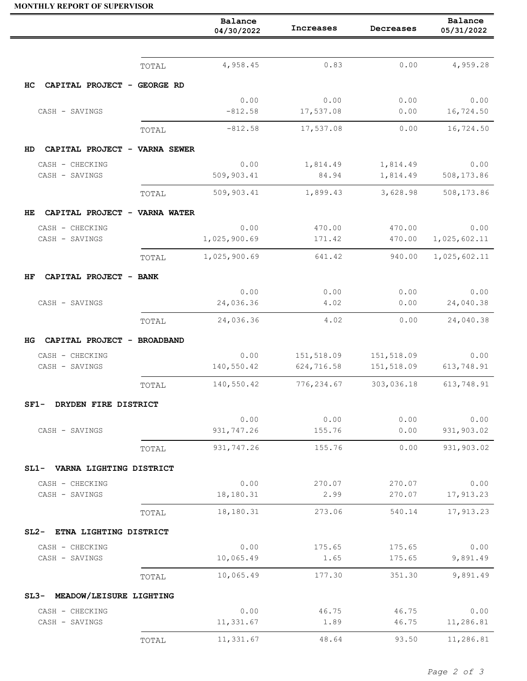## **MONTHLY REPORT OF SUPERVISOR**

|                                      |       | Balance<br>04/30/2022 | Increases         | Decreases            | Balance<br>05/31/2022 |
|--------------------------------------|-------|-----------------------|-------------------|----------------------|-----------------------|
|                                      |       |                       |                   |                      |                       |
|                                      | TOTAL | 4,958.45              | 0.83              | 0.00                 | 4,959.28              |
| CAPITAL PROJECT - GEORGE RD<br>HС    |       |                       |                   |                      |                       |
| CASH - SAVINGS                       |       | 0.00<br>$-812.58$     | 0.00<br>17,537.08 | 0.00<br>0.00         | 0.00<br>16,724.50     |
|                                      |       | $-812.58$             | 17,537.08         | 0.00                 | 16,724.50             |
|                                      | TOTAL |                       |                   |                      |                       |
| CAPITAL PROJECT - VARNA SEWER<br>HD. |       |                       |                   |                      |                       |
| CASH - CHECKING<br>CASH - SAVINGS    |       | 0.00<br>509,903.41    | 1,814.49<br>84.94 | 1,814.49<br>1,814.49 | 0.00<br>508,173.86    |
|                                      | TOTAL | 509,903.41            | 1,899.43          | 3,628.98             | 508,173.86            |
| CAPITAL PROJECT - VARNA WATER<br>HE. |       |                       |                   |                      |                       |
| CASH - CHECKING                      |       | 0.00                  | 470.00            | 470.00               | 0.00                  |
| CASH - SAVINGS                       |       | 1,025,900.69          | 171.42            | 470.00               | 1,025,602.11          |
|                                      | TOTAL | 1,025,900.69          | 641.42            | 940.00               | 1,025,602.11          |
| CAPITAL PROJECT - BANK<br>ΗF         |       |                       |                   |                      |                       |
|                                      |       | 0.00                  | 0.00              | 0.00                 | 0.00                  |
| CASH - SAVINGS                       |       | 24,036.36             | 4.02              | 0.00                 | 24,040.38             |
|                                      | TOTAL | 24,036.36             | 4.02              | 0.00                 | 24,040.38             |
| CAPITAL PROJECT - BROADBAND<br>HG.   |       |                       |                   |                      |                       |
| CASH - CHECKING                      |       | 0.00                  | 151,518.09        | 151,518.09           | 0.00                  |
| CASH - SAVINGS                       |       | 140,550.42            | 624,716.58        | 151,518.09           | 613,748.91            |
|                                      | TOTAL | 140,550.42            | 776,234.67        | 303,036.18           | 613,748.91            |
| SF1-<br>DRYDEN FIRE DISTRICT         |       |                       |                   |                      |                       |
|                                      |       | 0.00                  | 0.00              | 0.00                 | 0.00                  |
| CASH - SAVINGS                       |       | 931,747.26            | 155.76            | 0.00                 | 931,903.02            |
|                                      | TOTAL | 931,747.26            | 155.76            | 0.00                 | 931,903.02            |
| SL1- VARNA LIGHTING DISTRICT         |       |                       |                   |                      |                       |
| CASH - CHECKING<br>CASH - SAVINGS    |       | 0.00<br>18,180.31     | 270.07<br>2.99    | 270.07<br>270.07     | 0.00<br>17,913.23     |
|                                      | TOTAL | 18,180.31             | 273.06            | 540.14               | 17,913.23             |
|                                      |       |                       |                   |                      |                       |
| SL2- ETNA LIGHTING DISTRICT          |       | 0.00                  |                   |                      |                       |
| CASH - CHECKING<br>CASH - SAVINGS    |       | 10,065.49             | 175.65<br>1.65    | 175.65<br>175.65     | 0.00<br>9,891.49      |
|                                      | TOTAL | 10,065.49             | 177.30            | 351.30               | 9,891.49              |
| SL3- MEADOW/LEISURE LIGHTING         |       |                       |                   |                      |                       |
| CASH - CHECKING                      |       | 0.00                  | 46.75             | 46.75                | 0.00                  |
| CASH - SAVINGS                       |       | 11,331.67             | 1.89              | 46.75                | 11,286.81             |
|                                      | TOTAL | 11,331.67             | 48.64             | 93.50                | 11,286.81             |